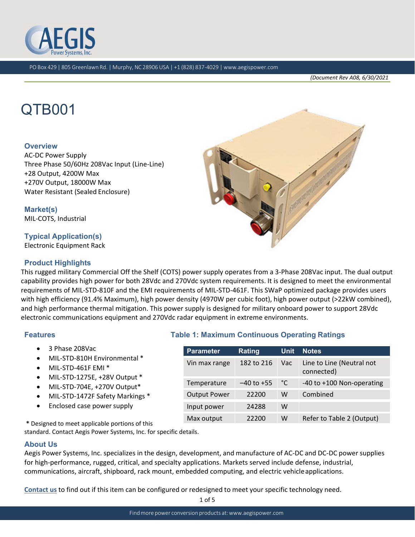

*(Document Rev A08, 6/30/2021*

# QTB001

#### **Overview**

AC‐DC Power Supply Three Phase 50/60Hz 208Vac Input (Line‐Line) +28 Output, 4200W Max +270V Output, 18000W Max Water Resistant (Sealed Enclosure)

**Market(s)** MIL‐COTS, Industrial

## **Typical Application(s)**

Electronic Equipment Rack

## **Product Highlights**

This rugged military Commercial Off the Shelf (COTS) power supply operates from a 3‐Phase 208Vac input. The dual output capability provides high power for both 28Vdc and 270Vdc system requirements. It is designed to meet the environmental requirements of MIL‐STD‐810F and the EMI requirements of MIL‐STD‐461F. This SWaP optimized package provides users with high efficiency (91.4% Maximum), high power density (4970W per cubic foot), high power output (>22kW combined), and high performance thermal mitigation. This power supply is designed for military onboard power to support 28Vdc electronic communications equipment and 270Vdc radar equipment in extreme environments.

**Parameter Rating Unit Notes** 

Output Power 22200 W Combined

Input power 24288 W

Vin max range 182 to 216 Vac Line to Line (Neutral not

Temperature –40 to +55 °C –40 to +100 Non-operating

Max output 22200 W Refer to Table 2 (Output)

connected)

### **Features Table 1: Maximum Continuous Operating Ratings**

- 3 Phase 208Vac
- MIL‐STD‐810H Environmental \*
- MIL‐STD‐461F EMI \*
- MIL‐STD‐1275E, +28V Output \*
- MIL‐STD‐704E, +270V Output\*
- MIL‐STD‐1472F Safety Markings \*
- Enclosed case power supply

**\*** Designed to meet applicable portions of this

standard. Contact Aegis Power Systems, Inc. for specific details.

#### **About Us**

Aegis Power Systems, Inc. specializes in the design, development, and manufacture of AC‐DC and DC‐DC power supplies for high-performance, rugged, critical, and specialty applications. Markets served include defense, industrial, communications, aircraft, shipboard, rack mount, embedded computing, and electric vehicleapplications.

**Contact us** to find out if this item can be configured or redesigned to meet your specific technology need.



1 of 5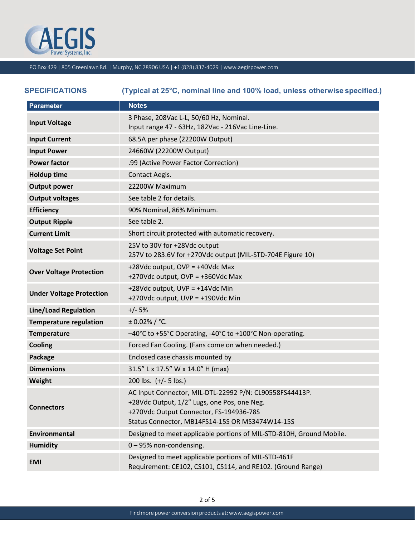

| <b>SPECIFICATIONS</b>           | (Typical at 25°C, nominal line and 100% load, unless otherwise specified.)                                                                                                                           |
|---------------------------------|------------------------------------------------------------------------------------------------------------------------------------------------------------------------------------------------------|
| <b>Parameter</b>                | <b>Notes</b>                                                                                                                                                                                         |
| <b>Input Voltage</b>            | 3 Phase, 208Vac L-L, 50/60 Hz, Nominal.<br>Input range 47 - 63Hz, 182Vac - 216Vac Line-Line.                                                                                                         |
| <b>Input Current</b>            | 68.5A per phase (22200W Output)                                                                                                                                                                      |
| <b>Input Power</b>              | 24660W (22200W Output)                                                                                                                                                                               |
| <b>Power factor</b>             | .99 (Active Power Factor Correction)                                                                                                                                                                 |
| <b>Holdup time</b>              | Contact Aegis.                                                                                                                                                                                       |
| <b>Output power</b>             | 22200W Maximum                                                                                                                                                                                       |
| <b>Output voltages</b>          | See table 2 for details.                                                                                                                                                                             |
| <b>Efficiency</b>               | 90% Nominal, 86% Minimum.                                                                                                                                                                            |
| <b>Output Ripple</b>            | See table 2.                                                                                                                                                                                         |
| <b>Current Limit</b>            | Short circuit protected with automatic recovery.                                                                                                                                                     |
| <b>Voltage Set Point</b>        | 25V to 30V for +28Vdc output<br>257V to 283.6V for +270Vdc output (MIL-STD-704E Figure 10)                                                                                                           |
| <b>Over Voltage Protection</b>  | +28Vdc output, OVP = +40Vdc Max<br>+270Vdc output, OVP = +360Vdc Max                                                                                                                                 |
| <b>Under Voltage Protection</b> | +28Vdc output, UVP = +14Vdc Min<br>+270Vdc output, UVP = +190Vdc Min                                                                                                                                 |
| <b>Line/Load Regulation</b>     | $+/- 5%$                                                                                                                                                                                             |
| <b>Temperature regulation</b>   | $± 0.02\%$ / °C.                                                                                                                                                                                     |
| <b>Temperature</b>              | -40°C to +55°C Operating, -40°C to +100°C Non-operating.                                                                                                                                             |
| Cooling                         | Forced Fan Cooling. (Fans come on when needed.)                                                                                                                                                      |
| Package                         | Enclosed case chassis mounted by                                                                                                                                                                     |
| <b>Dimensions</b>               | 31.5" L x 17.5" W x 14.0" H (max)                                                                                                                                                                    |
| Weight                          | 200 lbs. $(+/- 5$ lbs.)                                                                                                                                                                              |
| <b>Connectors</b>               | AC Input Connector, MIL-DTL-22992 P/N: CL90558FS44413P.<br>+28Vdc Output, 1/2" Lugs, one Pos, one Neg.<br>+270Vdc Output Connector, FS-194936-78S<br>Status Connector, MB14FS14-15S OR MS3474W14-15S |
| Environmental                   | Designed to meet applicable portions of MIL-STD-810H, Ground Mobile.                                                                                                                                 |
| <b>Humidity</b>                 | 0-95% non-condensing.                                                                                                                                                                                |
| <b>EMI</b>                      | Designed to meet applicable portions of MIL-STD-461F<br>Requirement: CE102, CS101, CS114, and RE102. (Ground Range)                                                                                  |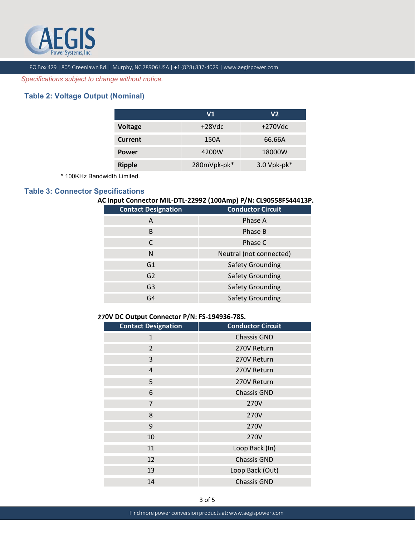

*Specifications subject to change without notice.*

# **Table 2: Voltage Output (Nominal)**

|                | V1          | V2               |  |  |
|----------------|-------------|------------------|--|--|
| <b>Voltage</b> | $+28Vdc$    | $+270$ Vdc       |  |  |
| Current        | 150A        | 66.66A           |  |  |
| <b>Power</b>   | 4200W       | 18000W           |  |  |
| <b>Ripple</b>  | 280mVpk-pk* | $3.0$ Vpk-pk $*$ |  |  |

\* 100KHz Bandwidth Limited.

## **Table 3: Connector Specifications**

## **AC Input Connector MIL‐DTL‐22992 (100Amp) P/N: CL90558FS44413P.**

| <b>Contact Designation</b> | <b>Conductor Circuit</b> |
|----------------------------|--------------------------|
| A                          | Phase A                  |
| B                          | Phase B                  |
|                            | Phase C                  |
| N                          | Neutral (not connected)  |
| G1                         | <b>Safety Grounding</b>  |
| G <sub>2</sub>             | <b>Safety Grounding</b>  |
| G <sub>3</sub>             | <b>Safety Grounding</b>  |
| G4                         | <b>Safety Grounding</b>  |

#### **27 0V DC Output Connector P/N: FS‐194936‐78S.**

| <b>Contact Designation</b> | <b>Conductor Circuit</b> |
|----------------------------|--------------------------|
| $\mathbf{1}$               | <b>Chassis GND</b>       |
| 2                          | 270V Return              |
| 3                          | 270V Return              |
| 4                          | 270V Return              |
| 5                          | 270V Return              |
| 6                          | <b>Chassis GND</b>       |
| $\overline{7}$             | 270V                     |
| 8                          | 270V                     |
| 9                          | 270V                     |
| 10                         | 270V                     |
| 11                         | Loop Back (In)           |
| 12                         | <b>Chassis GND</b>       |
| 13                         | Loop Back (Out)          |
| 14                         | <b>Chassis GND</b>       |
|                            |                          |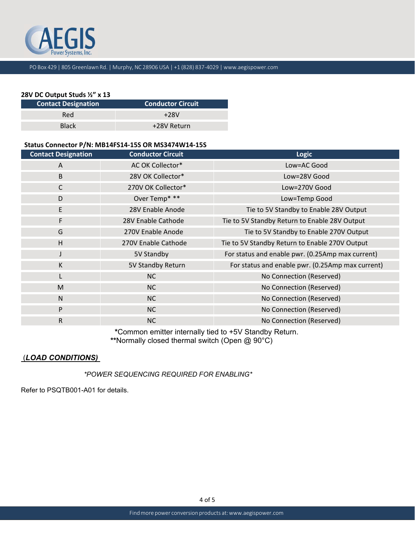

## **28V DC Output Studs ½" x 13**

| <b>Contact Designation</b> | <b>Conductor Circuit</b> |
|----------------------------|--------------------------|
| <b>Red</b>                 | $+28V$                   |
| <b>Black</b>               | +28V Return              |

## **Status Connector P/N: MB14FS14‐15S OR MS3474W14‐15S**

| <b>Contact Designation</b> | <b>Conductor Circuit</b> | Logic                                            |
|----------------------------|--------------------------|--------------------------------------------------|
| A                          | AC OK Collector*         | Low=AC Good                                      |
| B                          | 28V OK Collector*        | Low=28V Good                                     |
| $\mathsf{C}$               | 270V OK Collector*       | Low=270V Good                                    |
| D                          | Over Temp* **            | Low=Temp Good                                    |
| $\mathsf E$                | 28V Enable Anode         | Tie to 5V Standby to Enable 28V Output           |
| $\mathsf{F}$               | 28V Enable Cathode       | Tie to 5V Standby Return to Enable 28V Output    |
| G                          | 270V Enable Anode        | Tie to 5V Standby to Enable 270V Output          |
| H                          | 270V Enable Cathode      | Tie to 5V Standby Return to Enable 270V Output   |
|                            | 5V Standby               | For status and enable pwr. (0.25Amp max current) |
| K                          | 5V Standby Return        | For status and enable pwr. (0.25Amp max current) |
|                            | <b>NC</b>                | No Connection (Reserved)                         |
| M                          | <b>NC</b>                | No Connection (Reserved)                         |
| $\mathsf{N}$               | <b>NC</b>                | No Connection (Reserved)                         |
| P                          | <b>NC</b>                | No Connection (Reserved)                         |
| R.                         | NC                       | No Connection (Reserved)                         |

**\***Common emitter internally tied to +5V Standby Return. **\*\***Normally closed thermal switch (Open @ 90°C)

## (*LOAD CONDITIONS)*

*\*POWER SEQUENCING REQUIRED FOR ENABLING\** 

Refer to PSQTB001-A01 for details.